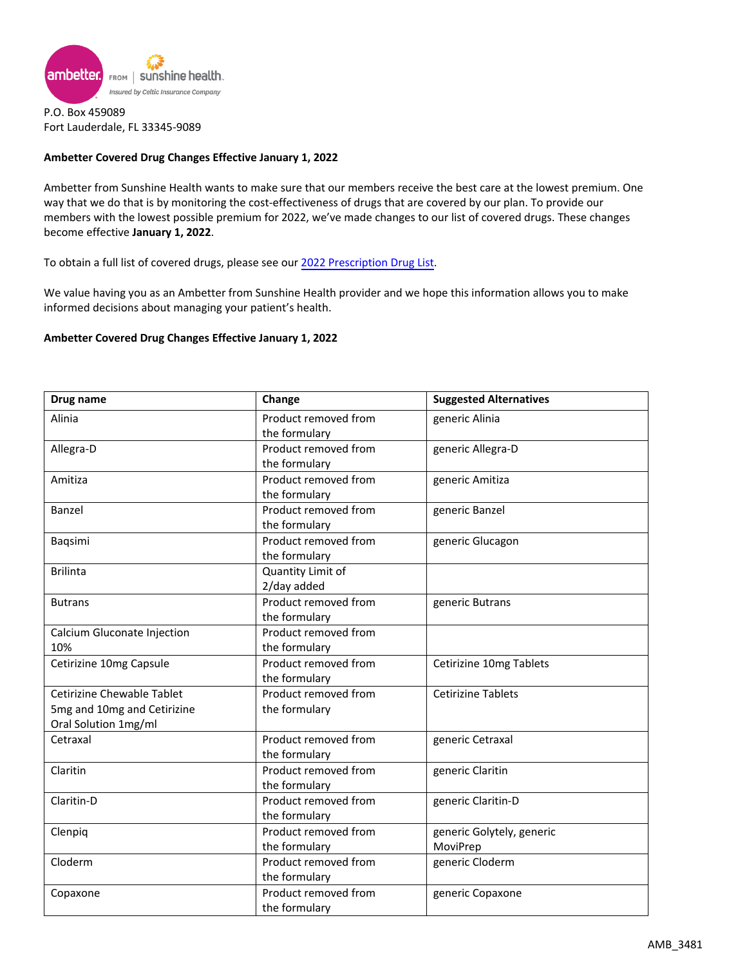

P.O. Box 459089 Fort Lauderdale, FL 33345-9089

## **Ambetter Covered Drug Changes Effective January 1, 2022**

Ambetter from Sunshine Health wants to make sure that our members receive the best care at the lowest premium. One way that we do that is by monitoring the cost-effectiveness of drugs that are covered by our plan. To provide our members with the lowest possible premium for 2022, we've made changes to our list of covered drugs. These changes become effective **January 1, 2022**.

To obtain a full list of covered drugs, please see our [2022 Prescription](https://ambetter.sunshinehealth.com/content/dam/centene/Sunshine/Ambetter/PDFs/2022-fl-formulary.pdf) Drug List.

We value having you as an Ambetter from Sunshine Health provider and we hope this information allows you to make informed decisions about managing your patient's health.

### **Ambetter Covered Drug Changes Effective January 1, 2022**

| Drug name                   | Change               | <b>Suggested Alternatives</b> |
|-----------------------------|----------------------|-------------------------------|
| Alinia                      | Product removed from | generic Alinia                |
|                             | the formulary        |                               |
| Allegra-D                   | Product removed from | generic Allegra-D             |
|                             | the formulary        |                               |
| Amitiza                     | Product removed from | generic Amitiza               |
|                             | the formulary        |                               |
| Banzel                      | Product removed from | generic Banzel                |
|                             | the formulary        |                               |
| Baqsimi                     | Product removed from | generic Glucagon              |
|                             | the formulary        |                               |
| <b>Brilinta</b>             | Quantity Limit of    |                               |
|                             | 2/day added          |                               |
| <b>Butrans</b>              | Product removed from | generic Butrans               |
|                             | the formulary        |                               |
| Calcium Gluconate Injection | Product removed from |                               |
| 10%                         | the formulary        |                               |
| Cetirizine 10mg Capsule     | Product removed from | Cetirizine 10mg Tablets       |
|                             | the formulary        |                               |
| Cetirizine Chewable Tablet  | Product removed from | <b>Cetirizine Tablets</b>     |
| 5mg and 10mg and Cetirizine | the formulary        |                               |
| Oral Solution 1mg/ml        |                      |                               |
| Cetraxal                    | Product removed from | generic Cetraxal              |
|                             | the formulary        |                               |
| Claritin                    | Product removed from | generic Claritin              |
|                             | the formulary        |                               |
| Claritin-D                  | Product removed from | generic Claritin-D            |
|                             | the formulary        |                               |
| Clenpiq                     | Product removed from | generic Golytely, generic     |
|                             | the formulary        | MoviPrep                      |
| Cloderm                     | Product removed from | generic Cloderm               |
|                             | the formulary        |                               |
| Copaxone                    | Product removed from | generic Copaxone              |
|                             | the formulary        |                               |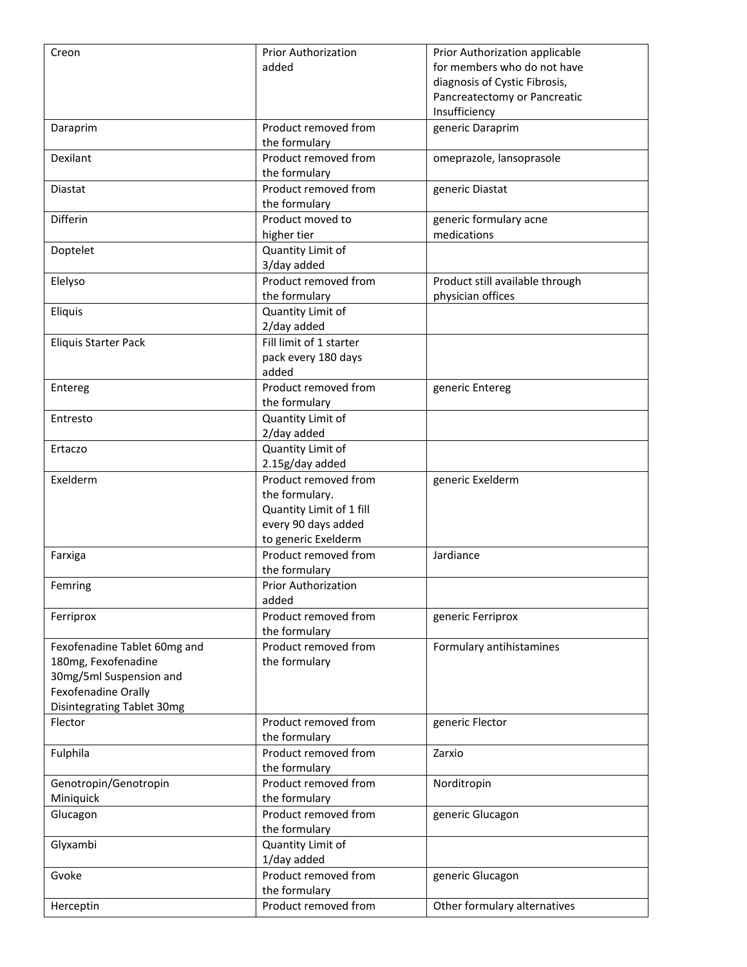| Creon                        | <b>Prior Authorization</b>                 | Prior Authorization applicable  |
|------------------------------|--------------------------------------------|---------------------------------|
|                              | added                                      | for members who do not have     |
|                              |                                            | diagnosis of Cystic Fibrosis,   |
|                              |                                            | Pancreatectomy or Pancreatic    |
|                              |                                            | Insufficiency                   |
| Daraprim                     | Product removed from                       | generic Daraprim                |
|                              | the formulary                              |                                 |
| Dexilant                     | Product removed from                       | omeprazole, lansoprasole        |
|                              | the formulary                              |                                 |
| Diastat                      | Product removed from                       | generic Diastat                 |
|                              | the formulary                              |                                 |
| Differin                     | Product moved to                           | generic formulary acne          |
|                              | higher tier                                | medications                     |
| Doptelet                     | Quantity Limit of                          |                                 |
|                              | 3/day added                                |                                 |
| Elelyso                      | Product removed from                       | Product still available through |
|                              | the formulary                              | physician offices               |
| Eliquis                      | Quantity Limit of                          |                                 |
|                              | 2/day added                                |                                 |
| <b>Eliquis Starter Pack</b>  | Fill limit of 1 starter                    |                                 |
|                              | pack every 180 days                        |                                 |
|                              | added                                      |                                 |
| Entereg                      | Product removed from                       | generic Entereg                 |
|                              | the formulary                              |                                 |
| Entresto                     | Quantity Limit of                          |                                 |
|                              | 2/day added                                |                                 |
| Ertaczo                      | Quantity Limit of                          |                                 |
|                              | 2.15g/day added                            |                                 |
| Exelderm                     | Product removed from                       | generic Exelderm                |
|                              | the formulary.<br>Quantity Limit of 1 fill |                                 |
|                              |                                            |                                 |
|                              | every 90 days added<br>to generic Exelderm |                                 |
| Farxiga                      | Product removed from                       | Jardiance                       |
|                              | the formulary                              |                                 |
| Femring                      | <b>Prior Authorization</b>                 |                                 |
|                              | added                                      |                                 |
| Ferriprox                    | Product removed from                       | generic Ferriprox               |
|                              | the formulary                              |                                 |
| Fexofenadine Tablet 60mg and | Product removed from                       | Formulary antihistamines        |
| 180mg, Fexofenadine          | the formulary                              |                                 |
| 30mg/5ml Suspension and      |                                            |                                 |
| Fexofenadine Orally          |                                            |                                 |
| Disintegrating Tablet 30mg   |                                            |                                 |
| Flector                      | Product removed from                       | generic Flector                 |
|                              | the formulary                              |                                 |
| Fulphila                     | Product removed from                       | Zarxio                          |
|                              | the formulary                              |                                 |
| Genotropin/Genotropin        | Product removed from                       | Norditropin                     |
| Miniquick                    | the formulary                              |                                 |
| Glucagon                     | Product removed from                       | generic Glucagon                |
|                              | the formulary                              |                                 |
| Glyxambi                     | Quantity Limit of                          |                                 |
|                              | 1/day added                                |                                 |
| Gvoke                        | Product removed from                       | generic Glucagon                |
|                              | the formulary                              |                                 |
| Herceptin                    | Product removed from                       | Other formulary alternatives    |
|                              |                                            |                                 |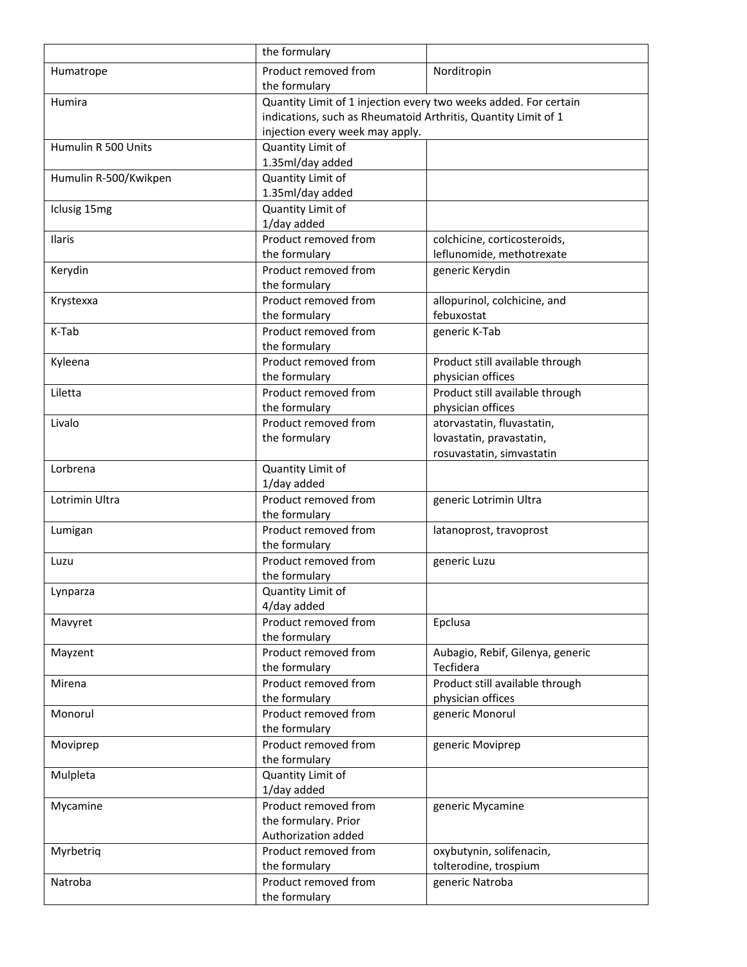|                       | the formulary                                                    |                                          |
|-----------------------|------------------------------------------------------------------|------------------------------------------|
| Humatrope             | Product removed from                                             | Norditropin                              |
|                       | the formulary                                                    |                                          |
| Humira                | Quantity Limit of 1 injection every two weeks added. For certain |                                          |
|                       | indications, such as Rheumatoid Arthritis, Quantity Limit of 1   |                                          |
|                       | injection every week may apply.                                  |                                          |
| Humulin R 500 Units   | Quantity Limit of                                                |                                          |
|                       | 1.35ml/day added                                                 |                                          |
| Humulin R-500/Kwikpen | Quantity Limit of                                                |                                          |
|                       | 1.35ml/day added                                                 |                                          |
| Iclusig 15mg          | Quantity Limit of                                                |                                          |
|                       | 1/day added                                                      |                                          |
| Ilaris                | Product removed from                                             | colchicine, corticosteroids,             |
|                       | the formulary<br>Product removed from                            | leflunomide, methotrexate                |
| Kerydin               | the formulary                                                    | generic Kerydin                          |
| Krystexxa             | Product removed from                                             | allopurinol, colchicine, and             |
|                       | the formulary                                                    | febuxostat                               |
| K-Tab                 | Product removed from                                             | generic K-Tab                            |
|                       | the formulary                                                    |                                          |
| Kyleena               | Product removed from                                             | Product still available through          |
|                       | the formulary                                                    | physician offices                        |
| Liletta               | Product removed from                                             | Product still available through          |
|                       | the formulary                                                    | physician offices                        |
| Livalo                | Product removed from                                             | atorvastatin, fluvastatin,               |
|                       | the formulary                                                    | lovastatin, pravastatin,                 |
|                       |                                                                  | rosuvastatin, simvastatin                |
| Lorbrena              | Quantity Limit of                                                |                                          |
|                       | 1/day added                                                      |                                          |
| Lotrimin Ultra        | Product removed from                                             | generic Lotrimin Ultra                   |
|                       | the formulary                                                    |                                          |
| Lumigan               | Product removed from                                             | latanoprost, travoprost                  |
|                       | the formulary<br>Product removed from                            |                                          |
| Luzu                  | the formulary                                                    | generic Luzu                             |
| Lynparza              | Quantity Limit of                                                |                                          |
|                       | 4/day added                                                      |                                          |
| Mavyret               | Product removed from                                             | Epclusa                                  |
|                       | the formulary                                                    |                                          |
| Mayzent               | Product removed from                                             | Aubagio, Rebif, Gilenya, generic         |
|                       | the formulary                                                    | Tecfidera                                |
| Mirena                | Product removed from                                             | Product still available through          |
|                       | the formulary                                                    | physician offices                        |
| Monorul               | Product removed from                                             | generic Monorul                          |
|                       | the formulary                                                    |                                          |
| Moviprep              | Product removed from                                             | generic Moviprep                         |
|                       | the formulary                                                    |                                          |
| Mulpleta              | Quantity Limit of                                                |                                          |
|                       | 1/day added                                                      |                                          |
| Mycamine              | Product removed from                                             | generic Mycamine                         |
|                       | the formulary. Prior                                             |                                          |
|                       | Authorization added                                              |                                          |
| Myrbetriq             | Product removed from                                             | oxybutynin, solifenacin,                 |
| Natroba               | the formulary<br>Product removed from                            | tolterodine, trospium<br>generic Natroba |
|                       | the formulary                                                    |                                          |
|                       |                                                                  |                                          |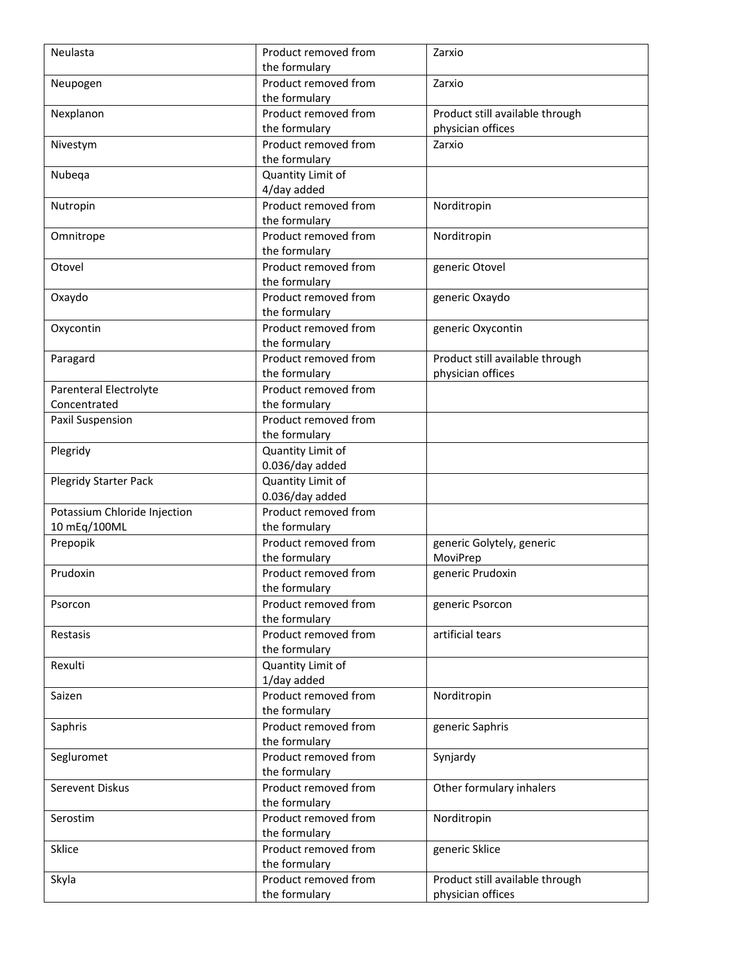| Neulasta                     | Product removed from | Zarxio                          |
|------------------------------|----------------------|---------------------------------|
|                              | the formulary        |                                 |
| Neupogen                     | Product removed from | Zarxio                          |
|                              | the formulary        |                                 |
| Nexplanon                    | Product removed from | Product still available through |
|                              | the formulary        | physician offices               |
| Nivestym                     | Product removed from | Zarxio                          |
|                              | the formulary        |                                 |
| Nubeqa                       | Quantity Limit of    |                                 |
|                              | 4/day added          |                                 |
| Nutropin                     | Product removed from | Norditropin                     |
|                              | the formulary        |                                 |
| Omnitrope                    | Product removed from | Norditropin                     |
|                              | the formulary        |                                 |
| Otovel                       | Product removed from | generic Otovel                  |
|                              | the formulary        |                                 |
| Oxaydo                       | Product removed from | generic Oxaydo                  |
|                              | the formulary        |                                 |
| Oxycontin                    | Product removed from | generic Oxycontin               |
|                              | the formulary        |                                 |
| Paragard                     | Product removed from | Product still available through |
|                              | the formulary        | physician offices               |
| Parenteral Electrolyte       | Product removed from |                                 |
| Concentrated                 | the formulary        |                                 |
| Paxil Suspension             | Product removed from |                                 |
|                              | the formulary        |                                 |
| Plegridy                     | Quantity Limit of    |                                 |
|                              | 0.036/day added      |                                 |
| <b>Plegridy Starter Pack</b> | Quantity Limit of    |                                 |
|                              | 0.036/day added      |                                 |
| Potassium Chloride Injection | Product removed from |                                 |
| 10 mEq/100ML                 | the formulary        |                                 |
| Prepopik                     | Product removed from | generic Golytely, generic       |
|                              | the formulary        | MoviPrep                        |
| Prudoxin                     | Product removed from | generic Prudoxin                |
|                              | the formulary        |                                 |
| Psorcon                      | Product removed from | generic Psorcon                 |
|                              | the formulary        |                                 |
| Restasis                     | Product removed from | artificial tears                |
|                              | the formulary        |                                 |
| Rexulti                      | Quantity Limit of    |                                 |
|                              | 1/day added          |                                 |
| Saizen                       | Product removed from | Norditropin                     |
|                              | the formulary        |                                 |
| Saphris                      | Product removed from | generic Saphris                 |
|                              | the formulary        |                                 |
| Segluromet                   | Product removed from | Synjardy                        |
|                              | the formulary        |                                 |
| Serevent Diskus              | Product removed from | Other formulary inhalers        |
|                              | the formulary        |                                 |
| Serostim                     | Product removed from | Norditropin                     |
|                              | the formulary        |                                 |
| Sklice                       | Product removed from | generic Sklice                  |
|                              | the formulary        |                                 |
| Skyla                        | Product removed from | Product still available through |
|                              | the formulary        | physician offices               |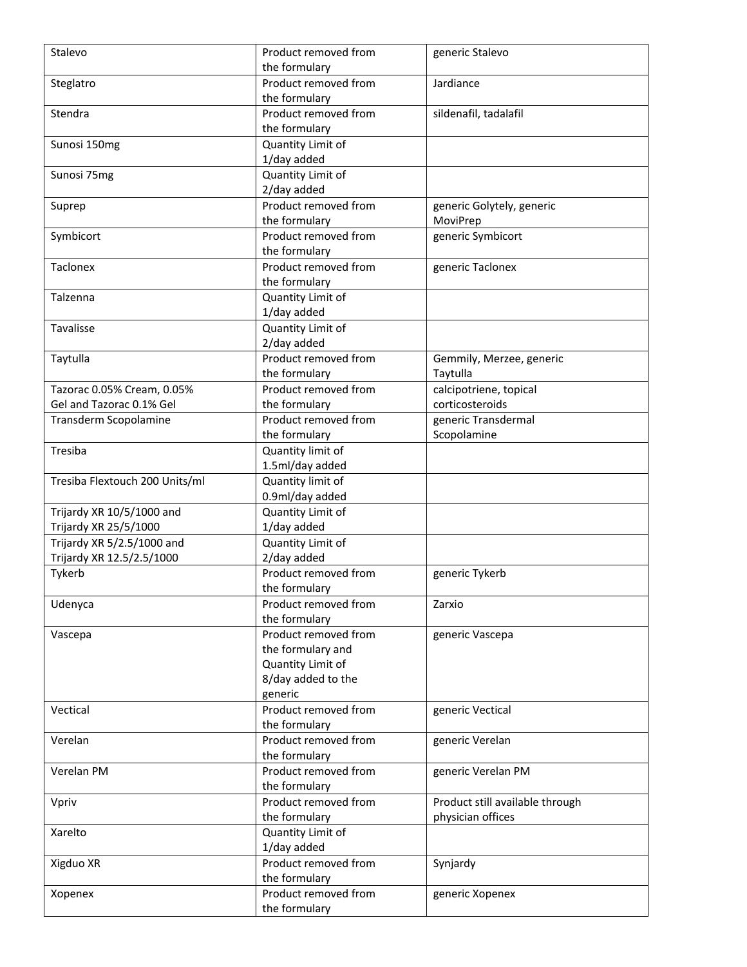| Stalevo                        | Product removed from | generic Stalevo                 |
|--------------------------------|----------------------|---------------------------------|
|                                | the formulary        |                                 |
| Steglatro                      | Product removed from | Jardiance                       |
|                                | the formulary        |                                 |
| Stendra                        | Product removed from | sildenafil, tadalafil           |
|                                | the formulary        |                                 |
| Sunosi 150mg                   | Quantity Limit of    |                                 |
|                                | 1/day added          |                                 |
| Sunosi 75mg                    | Quantity Limit of    |                                 |
|                                | 2/day added          |                                 |
| Suprep                         | Product removed from | generic Golytely, generic       |
|                                | the formulary        | MoviPrep                        |
| Symbicort                      | Product removed from | generic Symbicort               |
|                                | the formulary        |                                 |
| Taclonex                       | Product removed from | generic Taclonex                |
|                                | the formulary        |                                 |
| Talzenna                       | Quantity Limit of    |                                 |
|                                | 1/day added          |                                 |
| Tavalisse                      | Quantity Limit of    |                                 |
|                                | 2/day added          |                                 |
| Taytulla                       | Product removed from | Gemmily, Merzee, generic        |
|                                | the formulary        | Taytulla                        |
| Tazorac 0.05% Cream, 0.05%     | Product removed from | calcipotriene, topical          |
| Gel and Tazorac 0.1% Gel       | the formulary        | corticosteroids                 |
| Transderm Scopolamine          | Product removed from | generic Transdermal             |
|                                | the formulary        | Scopolamine                     |
| Tresiba                        | Quantity limit of    |                                 |
|                                | 1.5ml/day added      |                                 |
| Tresiba Flextouch 200 Units/ml | Quantity limit of    |                                 |
|                                | 0.9ml/day added      |                                 |
| Trijardy XR 10/5/1000 and      | Quantity Limit of    |                                 |
| Trijardy XR 25/5/1000          | 1/day added          |                                 |
| Trijardy XR 5/2.5/1000 and     | Quantity Limit of    |                                 |
| Trijardy XR 12.5/2.5/1000      | 2/day added          |                                 |
| Tykerb                         | Product removed from | generic Tykerb                  |
|                                | the formulary        |                                 |
| Udenyca                        | Product removed from | Zarxio                          |
|                                | the formulary        |                                 |
| Vascepa                        | Product removed from | generic Vascepa                 |
|                                | the formulary and    |                                 |
|                                | Quantity Limit of    |                                 |
|                                | 8/day added to the   |                                 |
|                                | generic              |                                 |
| Vectical                       | Product removed from | generic Vectical                |
|                                | the formulary        |                                 |
| Verelan                        | Product removed from | generic Verelan                 |
|                                | the formulary        |                                 |
| Verelan PM                     | Product removed from | generic Verelan PM              |
|                                | the formulary        |                                 |
| Vpriv                          | Product removed from | Product still available through |
|                                | the formulary        | physician offices               |
| Xarelto                        | Quantity Limit of    |                                 |
|                                | 1/day added          |                                 |
| Xigduo XR                      | Product removed from | Synjardy                        |
|                                | the formulary        |                                 |
| Xopenex                        | Product removed from | generic Xopenex                 |
|                                | the formulary        |                                 |